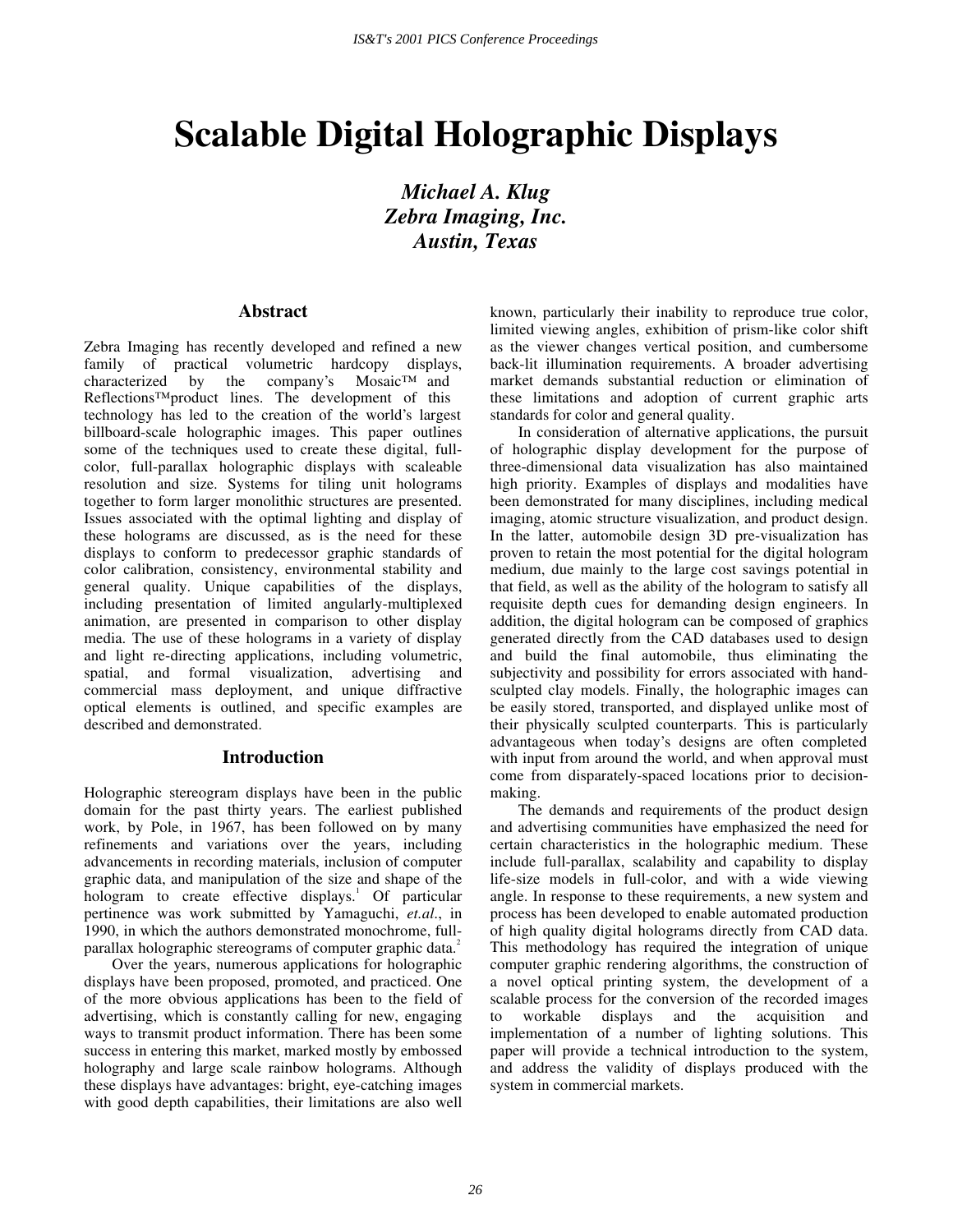# **Scalable Digital Holographic Displays**

*Michael A. Klug Zebra Imaging, Inc. Austin, Texas* 

#### **Abstract**

Zebra Imaging has recently developed and refined a new family of practical volumetric hardcopy displays, characterized by the company's Mosaic™ and Reflections™ product lines. The development of this technology has led to the creation of the world's largest billboard-scale holographic images. This paper outlines some of the techniques used to create these digital, fullcolor, full-parallax holographic displays with scaleable resolution and size. Systems for tiling unit holograms together to form larger monolithic structures are presented. Issues associated with the optimal lighting and display of these holograms are discussed, as is the need for these displays to conform to predecessor graphic standards of color calibration, consistency, environmental stability and general quality. Unique capabilities of the displays, including presentation of limited angularly-multiplexed animation, are presented in comparison to other display media. The use of these holograms in a variety of display and light re-directing applications, including volumetric, spatial, and formal visualization, advertising and commercial mass deployment, and unique diffractive optical elements is outlined, and specific examples are described and demonstrated.

#### **Introduction**

Holographic stereogram displays have been in the public domain for the past thirty years. The earliest published work, by Pole, in 1967, has been followed on by many refinements and variations over the years, including advancements in recording materials, inclusion of computer graphic data, and manipulation of the size and shape of the hologram to create effective displays.<sup>1</sup> Of particular pertinence was work submitted by Yamaguchi, *et.al*., in 1990, in which the authors demonstrated monochrome, fullparallax holographic stereograms of computer graphic data.<sup>2</sup>

Over the years, numerous applications for holographic displays have been proposed, promoted, and practiced. One of the more obvious applications has been to the field of advertising, which is constantly calling for new, engaging ways to transmit product information. There has been some success in entering this market, marked mostly by embossed holography and large scale rainbow holograms. Although these displays have advantages: bright, eye-catching images with good depth capabilities, their limitations are also well

known, particularly their inability to reproduce true color, limited viewing angles, exhibition of prism-like color shift as the viewer changes vertical position, and cumbersome back-lit illumination requirements. A broader advertising market demands substantial reduction or elimination of these limitations and adoption of current graphic arts standards for color and general quality.

In consideration of alternative applications, the pursuit of holographic display development for the purpose of three-dimensional data visualization has also maintained high priority. Examples of displays and modalities have been demonstrated for many disciplines, including medical imaging, atomic structure visualization, and product design. In the latter, automobile design 3D pre-visualization has proven to retain the most potential for the digital hologram medium, due mainly to the large cost savings potential in that field, as well as the ability of the hologram to satisfy all requisite depth cues for demanding design engineers. In addition, the digital hologram can be composed of graphics generated directly from the CAD databases used to design and build the final automobile, thus eliminating the subjectivity and possibility for errors associated with handsculpted clay models. Finally, the holographic images can be easily stored, transported, and displayed unlike most of their physically sculpted counterparts. This is particularly advantageous when today's designs are often completed with input from around the world, and when approval must come from disparately-spaced locations prior to decisionmaking.

The demands and requirements of the product design and advertising communities have emphasized the need for certain characteristics in the holographic medium. These include full-parallax, scalability and capability to display life-size models in full-color, and with a wide viewing angle. In response to these requirements, a new system and process has been developed to enable automated production of high quality digital holograms directly from CAD data. This methodology has required the integration of unique computer graphic rendering algorithms, the construction of a novel optical printing system, the development of a scalable process for the conversion of the recorded images to workable displays and the acquisition and implementation of a number of lighting solutions. This paper will provide a technical introduction to the system, and address the validity of displays produced with the system in commercial markets.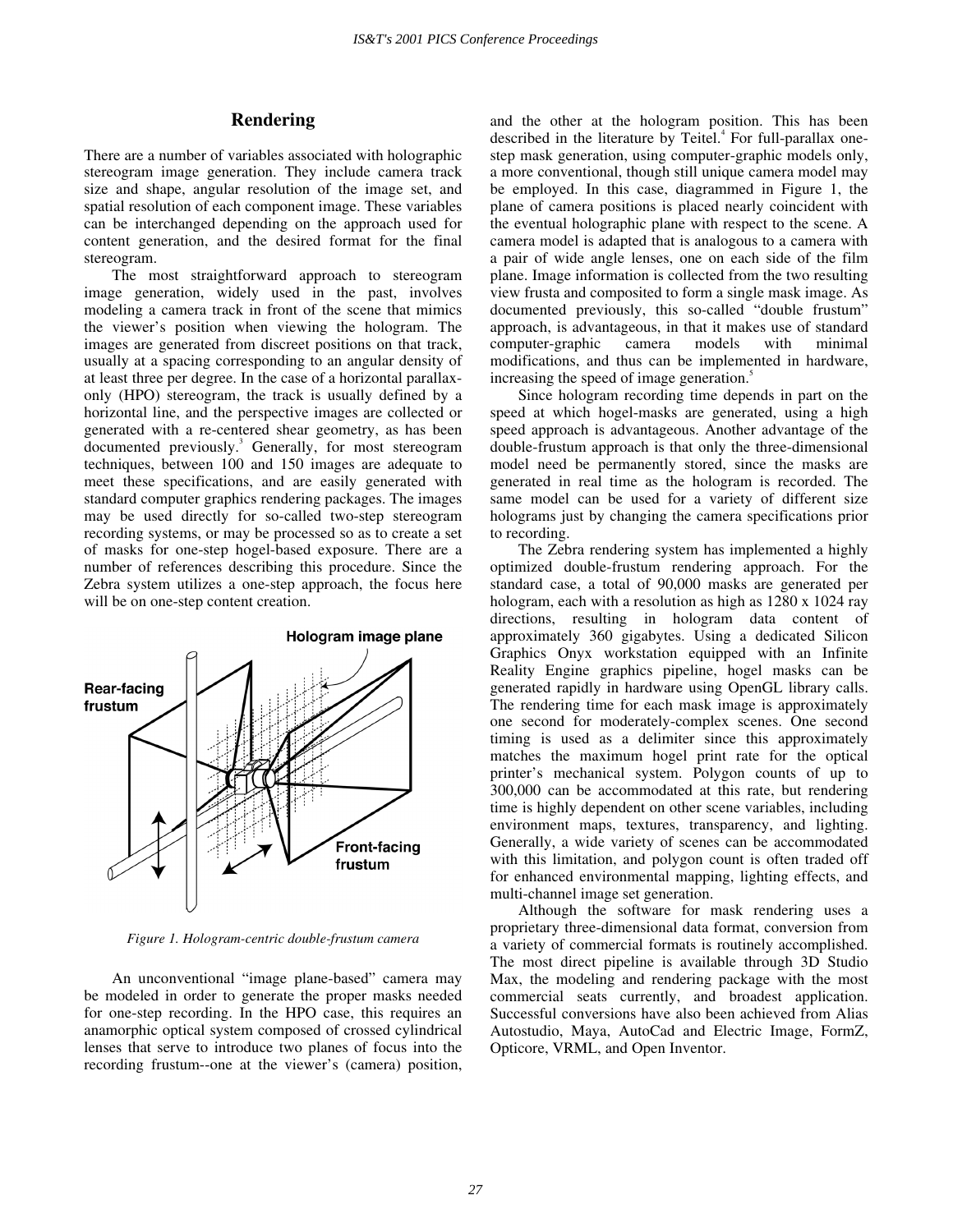# **Rendering**

There are a number of variables associated with holographic stereogram image generation. They include camera track size and shape, angular resolution of the image set, and spatial resolution of each component image. These variables can be interchanged depending on the approach used for content generation, and the desired format for the final stereogram.

The most straightforward approach to stereogram image generation, widely used in the past, involves modeling a camera track in front of the scene that mimics the viewer's position when viewing the hologram. The images are generated from discreet positions on that track, usually at a spacing corresponding to an angular density of at least three per degree. In the case of a horizontal parallaxonly (HPO) stereogram, the track is usually defined by a horizontal line, and the perspective images are collected or generated with a re-centered shear geometry, as has been documented previously.<sup>3</sup> Generally, for most stereogram techniques, between 100 and 150 images are adequate to meet these specifications, and are easily generated with standard computer graphics rendering packages. The images may be used directly for so-called two-step stereogram recording systems, or may be processed so as to create a set of masks for one-step hogel-based exposure. There are a number of references describing this procedure. Since the Zebra system utilizes a one-step approach, the focus here will be on one-step content creation.



*Figure 1. Hologram-centric double-frustum camera* 

An unconventional "image plane-based" camera may be modeled in order to generate the proper masks needed for one-step recording. In the HPO case, this requires an anamorphic optical system composed of crossed cylindrical lenses that serve to introduce two planes of focus into the recording frustum--one at the viewer's (camera) position, and the other at the hologram position. This has been described in the literature by Teitel.<sup>4</sup> For full-parallax onestep mask generation, using computer-graphic models only, a more conventional, though still unique camera model may be employed. In this case, diagrammed in Figure 1, the plane of camera positions is placed nearly coincident with the eventual holographic plane with respect to the scene. A camera model is adapted that is analogous to a camera with a pair of wide angle lenses, one on each side of the film plane. Image information is collected from the two resulting view frusta and composited to form a single mask image. As documented previously, this so-called "double frustum" approach, is advantageous, in that it makes use of standard computer-graphic camera models with minimal modifications, and thus can be implemented in hardware, increasing the speed of image generation.<sup>5</sup>

Since hologram recording time depends in part on the speed at which hogel-masks are generated, using a high speed approach is advantageous. Another advantage of the double-frustum approach is that only the three-dimensional model need be permanently stored, since the masks are generated in real time as the hologram is recorded. The same model can be used for a variety of different size holograms just by changing the camera specifications prior to recording.

The Zebra rendering system has implemented a highly optimized double-frustum rendering approach. For the standard case, a total of 90,000 masks are generated per hologram, each with a resolution as high as  $1280 \times 1024$  ray directions, resulting in hologram data content of approximately 360 gigabytes. Using a dedicated Silicon Graphics Onyx workstation equipped with an Infinite Reality Engine graphics pipeline, hogel masks can be generated rapidly in hardware using OpenGL library calls. The rendering time for each mask image is approximately one second for moderately-complex scenes. One second timing is used as a delimiter since this approximately matches the maximum hogel print rate for the optical printer's mechanical system. Polygon counts of up to 300,000 can be accommodated at this rate, but rendering time is highly dependent on other scene variables, including environment maps, textures, transparency, and lighting. Generally, a wide variety of scenes can be accommodated with this limitation, and polygon count is often traded off for enhanced environmental mapping, lighting effects, and multi-channel image set generation.

Although the software for mask rendering uses a proprietary three-dimensional data format, conversion from a variety of commercial formats is routinely accomplished. The most direct pipeline is available through 3D Studio Max, the modeling and rendering package with the most commercial seats currently, and broadest application. Successful conversions have also been achieved from Alias Autostudio, Maya, AutoCad and Electric Image, FormZ, Opticore, VRML, and Open Inventor.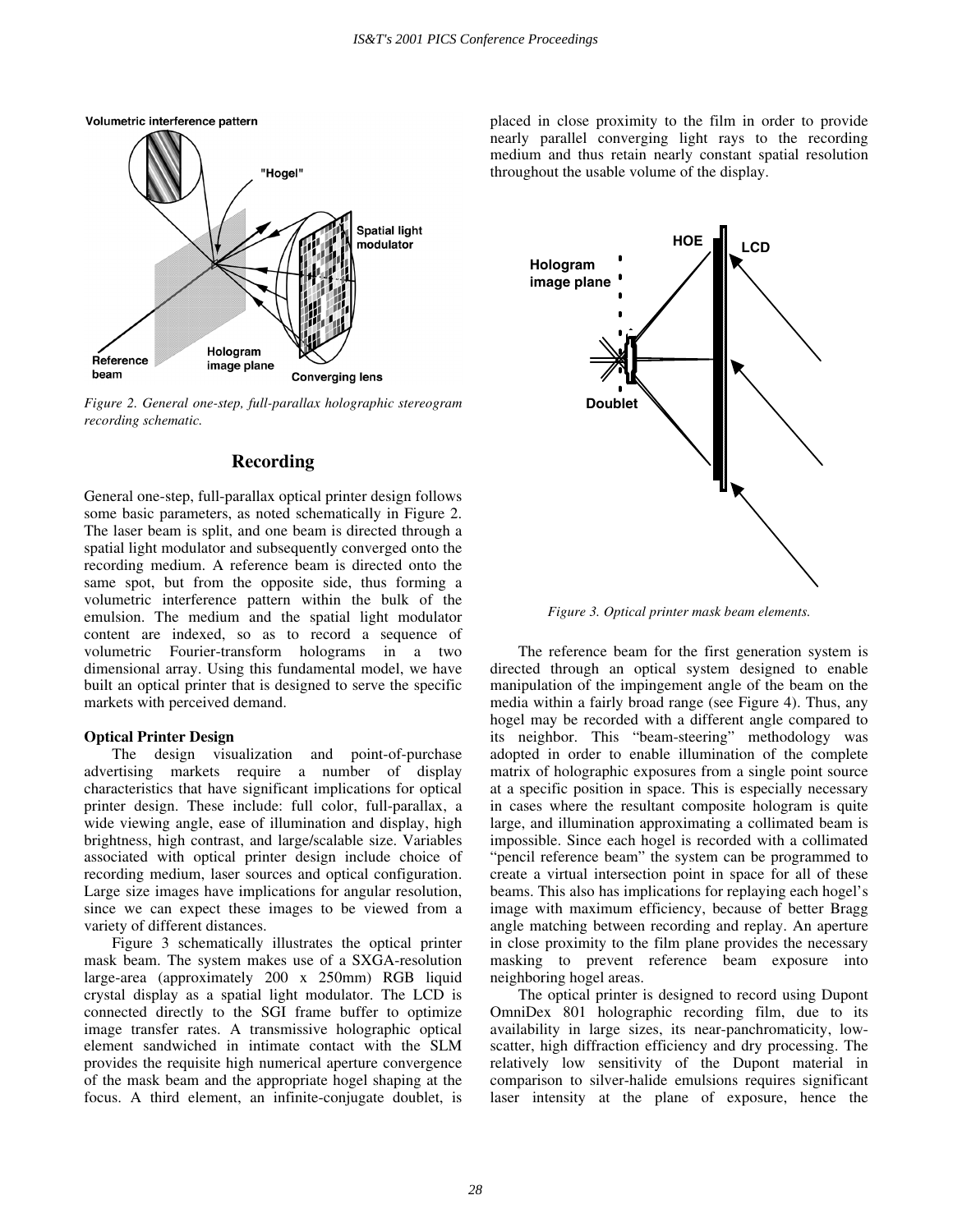

*Figure 2. General one-step, full-parallax holographic stereogram recording schematic.* 

## **Recording**

General one-step, full-parallax optical printer design follows some basic parameters, as noted schematically in Figure 2. The laser beam is split, and one beam is directed through a spatial light modulator and subsequently converged onto the recording medium. A reference beam is directed onto the same spot, but from the opposite side, thus forming a volumetric interference pattern within the bulk of the emulsion. The medium and the spatial light modulator content are indexed, so as to record a sequence of volumetric Fourier-transform holograms in a two dimensional array. Using this fundamental model, we have built an optical printer that is designed to serve the specific markets with perceived demand.

#### **Optical Printer Design**

The design visualization and point-of-purchase advertising markets require a number of display characteristics that have significant implications for optical printer design. These include: full color, full-parallax, a wide viewing angle, ease of illumination and display, high brightness, high contrast, and large/scalable size. Variables associated with optical printer design include choice of recording medium, laser sources and optical configuration. Large size images have implications for angular resolution, since we can expect these images to be viewed from a variety of different distances.

Figure 3 schematically illustrates the optical printer mask beam. The system makes use of a SXGA-resolution large-area (approximately 200 x 250mm) RGB liquid crystal display as a spatial light modulator. The LCD is connected directly to the SGI frame buffer to optimize image transfer rates. A transmissive holographic optical element sandwiched in intimate contact with the SLM provides the requisite high numerical aperture convergence of the mask beam and the appropriate hogel shaping at the focus. A third element, an infinite-conjugate doublet, is

placed in close proximity to the film in order to provide nearly parallel converging light rays to the recording medium and thus retain nearly constant spatial resolution throughout the usable volume of the display.



*Figure 3. Optical printer mask beam elements.* 

The reference beam for the first generation system is directed through an optical system designed to enable manipulation of the impingement angle of the beam on the media within a fairly broad range (see Figure 4). Thus, any hogel may be recorded with a different angle compared to its neighbor. This "beam-steering" methodology was adopted in order to enable illumination of the complete matrix of holographic exposures from a single point source at a specific position in space. This is especially necessary in cases where the resultant composite hologram is quite large, and illumination approximating a collimated beam is impossible. Since each hogel is recorded with a collimated " pencil reference beam" the system can be programmed to create a virtual intersection point in space for all of these beams. This also has implications for replaying each hogel's image with maximum efficiency, because of better Bragg angle matching between recording and replay. An aperture in close proximity to the film plane provides the necessary masking to prevent reference beam exposure into neighboring hogel areas.

The optical printer is designed to record using Dupont OmniDex 801 holographic recording film, due to its availability in large sizes, its near-panchromaticity, lowscatter, high diffraction efficiency and dry processing. The relatively low sensitivity of the Dupont material in comparison to silver-halide emulsions requires significant laser intensity at the plane of exposure, hence the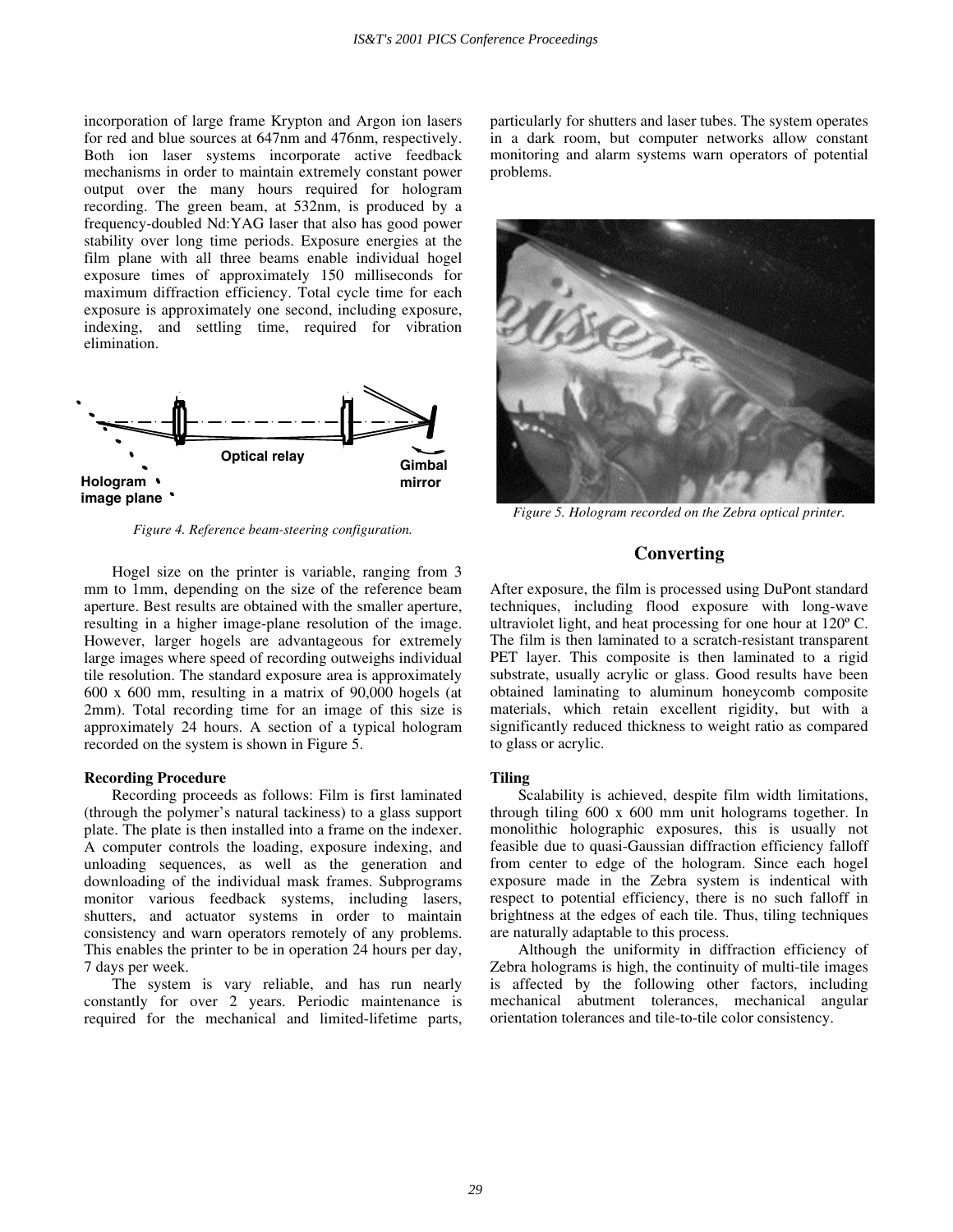incorporation of large frame Krypton and Argon ion lasers for red and blue sources at 647nm and 476nm, respectively. Both ion laser systems incorporate active feedback mechanisms in order to maintain extremely constant power output over the many hours required for hologram recording. The green beam, at 532nm, is produced by a frequency-doubled Nd:YAG laser that also has good power stability over long time periods. Exposure energies at the film plane with all three beams enable individual hogel exposure times of approximately 150 milliseconds for maximum diffraction efficiency. Total cycle time for each exposure is approximately one second, including exposure, indexing, and settling time, required for vibration elimination.



*Figure 4. Reference beam-steering configuration.* 

Hogel size on the printer is variable, ranging from 3 mm to 1mm, depending on the size of the reference beam aperture. Best results are obtained with the smaller aperture, resulting in a higher image-plane resolution of the image. However, larger hogels are advantageous for extremely large images where speed of recording outweighs individual tile resolution. The standard exposure area is approximately 600 x 600 mm, resulting in a matrix of 90,000 hogels (at 2mm). Total recording time for an image of this size is approximately 24 hours. A section of a typical hologram recorded on the system is shown in Figure 5.

#### **Recording Procedure**

Recording proceeds as follows: Film is first laminated (through the polymer's natural tackiness) to a glass support plate. The plate is then installed into a frame on the indexer. A computer controls the loading, exposure indexing, and unloading sequences, as well as the generation and downloading of the individual mask frames. Subprograms monitor various feedback systems, including lasers, shutters, and actuator systems in order to maintain consistency and warn operators remotely of any problems. This enables the printer to be in operation 24 hours per day, 7 days per week.

The system is vary reliable, and has run nearly constantly for over 2 years. Periodic maintenance is required for the mechanical and limited-lifetime parts, particularly for shutters and laser tubes. The system operates in a dark room, but computer networks allow constant monitoring and alarm systems warn operators of potential problems.



*Figure 5. Hologram recorded on the Zebra optical printer.* 

# **Converting**

After exposure, the film is processed using DuPont standard techniques, including flood exposure with long-wave ultraviolet light, and heat processing for one hour at 120º C. The film is then laminated to a scratch-resistant transparent PET layer. This composite is then laminated to a rigid substrate, usually acrylic or glass. Good results have been obtained laminating to aluminum honeycomb composite materials, which retain excellent rigidity, but with a significantly reduced thickness to weight ratio as compared to glass or acrylic.

### **Tiling**

Scalability is achieved, despite film width limitations, through tiling 600 x 600 mm unit holograms together. In monolithic holographic exposures, this is usually not feasible due to quasi-Gaussian diffraction efficiency falloff from center to edge of the hologram. Since each hogel exposure made in the Zebra system is indentical with respect to potential efficiency, there is no such falloff in brightness at the edges of each tile. Thus, tiling techniques are naturally adaptable to this process.

Although the uniformity in diffraction efficiency of Zebra holograms is high, the continuity of multi-tile images is affected by the following other factors, including mechanical abutment tolerances, mechanical angular orientation tolerances and tile-to-tile color consistency.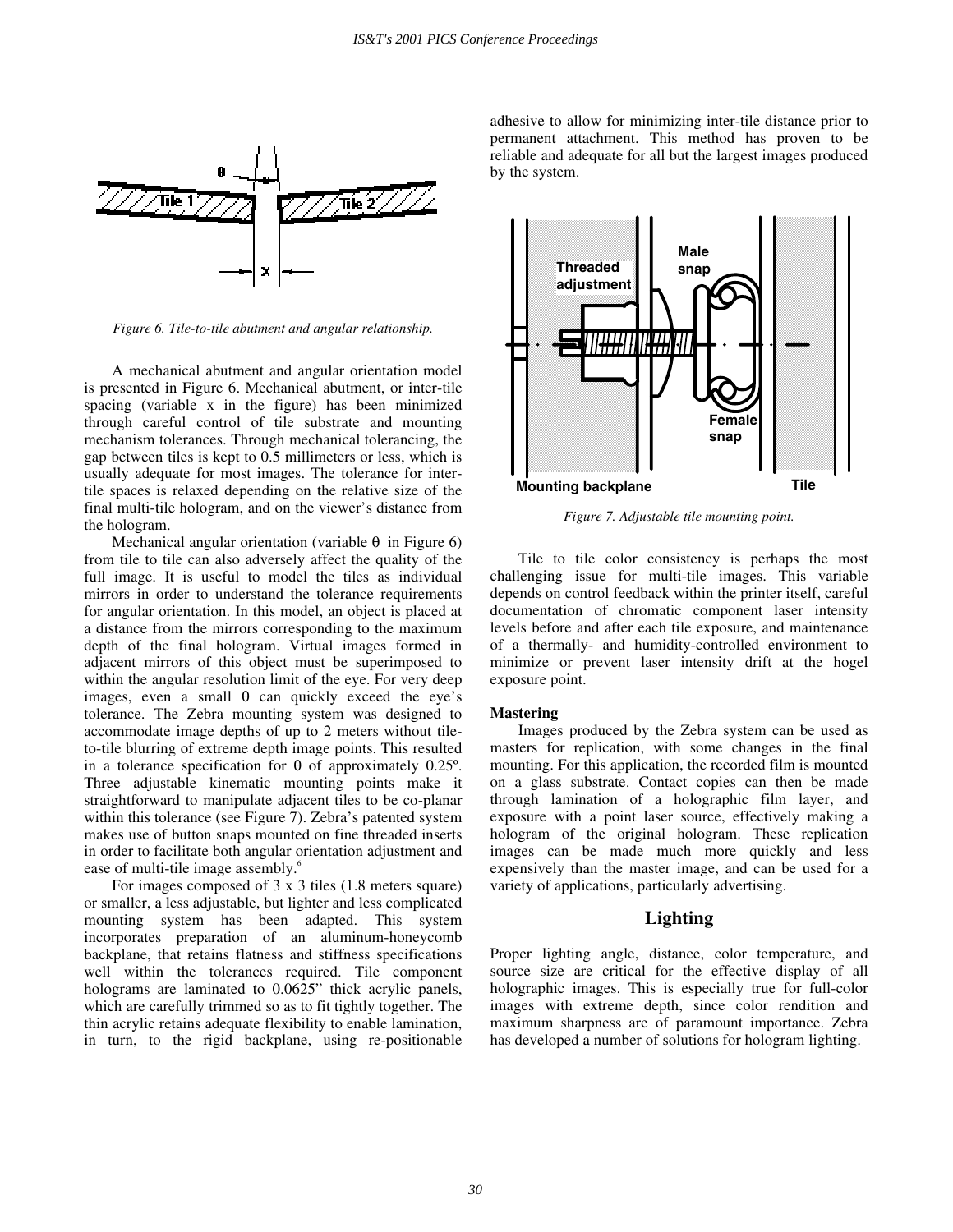

*Figure 6. Tile-to-tile abutment and angular relationship.* 

A mechanical abutment and angular orientation model is presented in Figure 6. Mechanical abutment, or inter-tile spacing (variable x in the figure) has been minimized through careful control of tile substrate and mounting mechanism tolerances. Through mechanical tolerancing, the gap between tiles is kept to 0.5 millimeters or less, which is usually adequate for most images. The tolerance for intertile spaces is relaxed depending on the relative size of the final multi-tile hologram, and on the viewer's distance from the hologram.

Mechanical angular orientation (variable  $\theta$  in Figure 6) from tile to tile can also adversely affect the quality of the full image. It is useful to model the tiles as individual mirrors in order to understand the tolerance requirements for angular orientation. In this model, an object is placed at a distance from the mirrors corresponding to the maximum depth of the final hologram. Virtual images formed in adjacent mirrors of this object must be superimposed to within the angular resolution limit of the eye. For very deep images, even a small θ can quickly exceed the eye's tolerance. The Zebra mounting system was designed to accommodate image depths of up to 2 meters without tileto-tile blurring of extreme depth image points. This resulted in a tolerance specification for θ of approximately 0.25º. Three adjustable kinematic mounting points make it straightforward to manipulate adjacent tiles to be co-planar within this tolerance (see Figure 7). Zebra's patented system makes use of button snaps mounted on fine threaded inserts in order to facilitate both angular orientation adjustment and ease of multi-tile image assembly.<sup>6</sup>

For images composed of 3 x 3 tiles (1.8 meters square) or smaller, a less adjustable, but lighter and less complicated mounting system has been adapted. This system incorporates preparation of an aluminum-honeycomb backplane, that retains flatness and stiffness specifications well within the tolerances required. Tile component holograms are laminated to  $0.0625$ " thick acrylic panels, which are carefully trimmed so as to fit tightly together. The thin acrylic retains adequate flexibility to enable lamination, in turn, to the rigid backplane, using re-positionable

adhesive to allow for minimizing inter-tile distance prior to permanent attachment. This method has proven to be reliable and adequate for all but the largest images produced by the system.



*Figure 7. Adjustable tile mounting point.* 

Tile to tile color consistency is perhaps the most challenging issue for multi-tile images. This variable depends on control feedback within the printer itself, careful documentation of chromatic component laser intensity levels before and after each tile exposure, and maintenance of a thermally- and humidity-controlled environment to minimize or prevent laser intensity drift at the hogel exposure point.

#### **Mastering**

Images produced by the Zebra system can be used as masters for replication, with some changes in the final mounting. For this application, the recorded film is mounted on a glass substrate. Contact copies can then be made through lamination of a holographic film layer, and exposure with a point laser source, effectively making a hologram of the original hologram. These replication images can be made much more quickly and less expensively than the master image, and can be used for a variety of applications, particularly advertising.

## **Lighting**

Proper lighting angle, distance, color temperature, and source size are critical for the effective display of all holographic images. This is especially true for full-color images with extreme depth, since color rendition and maximum sharpness are of paramount importance. Zebra has developed a number of solutions for hologram lighting.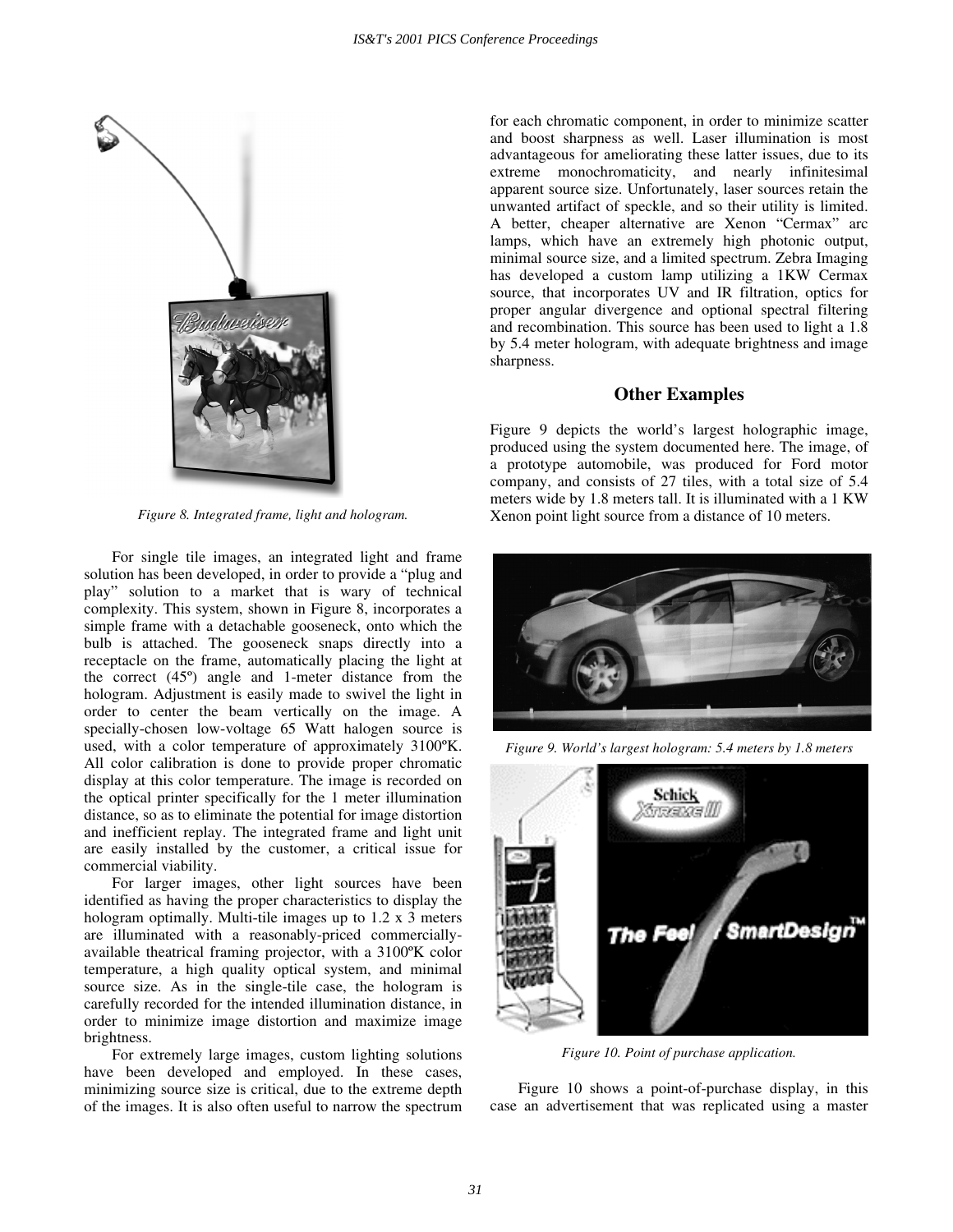

*Figure 8. Integrated frame, light and hologram.* 

For single tile images, an integrated light and frame solution has been developed, in order to provide a "plug and play" solution to a market that is wary of technical complexity. This system, shown in Figure 8, incorporates a simple frame with a detachable gooseneck, onto which the bulb is attached. The gooseneck snaps directly into a receptacle on the frame, automatically placing the light at the correct (45º) angle and 1-meter distance from the hologram. Adjustment is easily made to swivel the light in order to center the beam vertically on the image. A specially-chosen low-voltage 65 Watt halogen source is used, with a color temperature of approximately 3100ºK. All color calibration is done to provide proper chromatic display at this color temperature. The image is recorded on the optical printer specifically for the 1 meter illumination distance, so as to eliminate the potential for image distortion and inefficient replay. The integrated frame and light unit are easily installed by the customer, a critical issue for commercial viability.

For larger images, other light sources have been identified as having the proper characteristics to display the hologram optimally. Multi-tile images up to 1.2 x 3 meters are illuminated with a reasonably-priced commerciallyavailable theatrical framing projector, with a 3100ºK color temperature, a high quality optical system, and minimal source size. As in the single-tile case, the hologram is carefully recorded for the intended illumination distance, in order to minimize image distortion and maximize image brightness.

For extremely large images, custom lighting solutions have been developed and employed. In these cases, minimizing source size is critical, due to the extreme depth of the images. It is also often useful to narrow the spectrum for each chromatic component, in order to minimize scatter and boost sharpness as well. Laser illumination is most advantageous for ameliorating these latter issues, due to its extreme monochromaticity, and nearly infinitesimal apparent source size. Unfortunately, laser sources retain the unwanted artifact of speckle, and so their utility is limited. A better, cheaper alternative are Xenon "Cermax" arc lamps, which have an extremely high photonic output, minimal source size, and a limited spectrum. Zebra Imaging has developed a custom lamp utilizing a 1KW Cermax source, that incorporates UV and IR filtration, optics for proper angular divergence and optional spectral filtering and recombination. This source has been used to light a 1.8 by 5.4 meter hologram, with adequate brightness and image sharpness.

#### **Other Examples**

Figure 9 depicts the world's largest holographic image, produced using the system documented here. The image, of a prototype automobile, was produced for Ford motor company, and consists of 27 tiles, with a total size of 5.4 meters wide by 1.8 meters tall. It is illuminated with a 1 KW Xenon point light source from a distance of 10 meters.



*Figure 9. World's largest hologram: 5.4 meters by 1.8 meters* 



*Figure 10. Point of purchase application.* 

Figure 10 shows a point-of-purchase display, in this case an advertisement that was replicated using a master